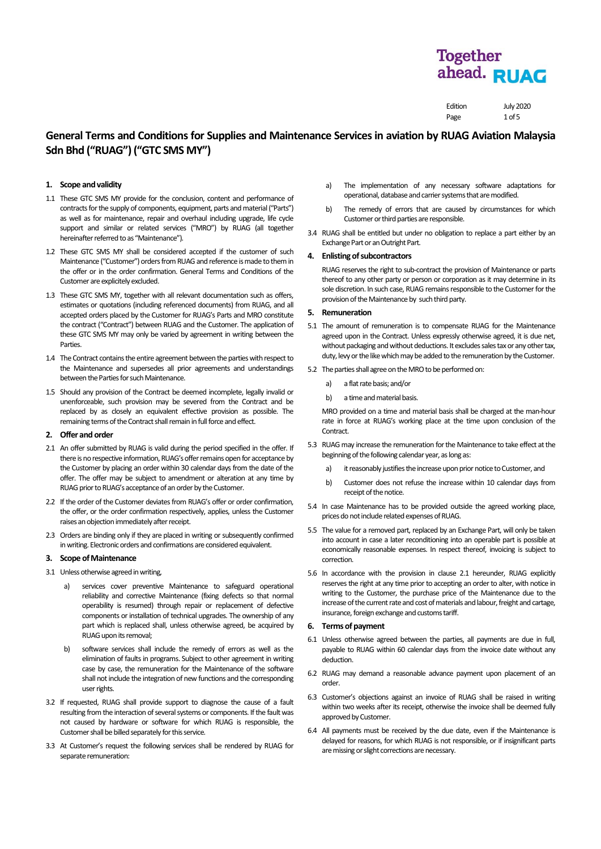Edition July 2020 Page 1 of 5

# **General Terms and Conditionsfor Supplies and Maintenance Services in aviation by RUAG Aviation Malaysia Sdn Bhd ("RUAG") ("GTC SMS MY")**

# **1. Scope and validity**

- 1.1 These GTC SMS MY provide for the conclusion, content and performance of contracts for the supply of components, equipment, parts and material ("Parts") as well as for maintenance, repair and overhaul including upgrade, life cycle support and similar or related services ("MRO") by RUAG (all together hereinafter referred to as "Maintenance").
- 1.2 These GTC SMS MY shall be considered accepted if the customer of such Maintenance ("Customer") orders from RUAG and reference is made to them in the offer or in the order confirmation. General Terms and Conditions of the Customer are explicitely excluded.
- 1.3 These GTC SMS MY, together with all relevant documentation such as offers, estimates or quotations (including referenced documents) from RUAG, and all accepted orders placed by the Customer for RUAG's Parts and MRO constitute the contract ("Contract") between RUAG and the Customer. The application of these GTC SMS MY may only be varied by agreement in writing between the Parties.
- 1.4 The Contract contains the entire agreement between the parties with respect to the Maintenance and supersedes all prior agreements and understandings between the Parties for such Maintenance.
- 1.5 Should any provision of the Contract be deemed incomplete, legally invalid or unenforceable, such provision may be severed from the Contract and be replaced by as closely an equivalent effective provision as possible. The remaining terms of the Contract shall remain in full force and effect.

# **2. Offer and order**

- 2.1 An offer submitted by RUAG is valid during the period specified in the offer. If there is no respective information, RUAG's offer remains open for acceptance by the Customer by placing an order within 30 calendar days from the date of the offer. The offer may be subject to amendment or alteration at any time by RUAG prior to RUAG's acceptance of an order by the Customer.
- 2.2 If the order of the Customer deviates from RUAG's offer or order confirmation, the offer, or the order confirmation respectively, applies, unless the Customer raises an objection immediately after receipt.
- 2.3 Orders are binding only if they are placed in writing or subsequently confirmed in writing. Electronic orders and confirmations are considered equivalent.

# **3. Scope of Maintenance**

- 3.1 Unless otherwise agreed in writing,
	- a) services cover preventive Maintenance to safeguard operational reliability and corrective Maintenance (fixing defects so that normal operability is resumed) through repair or replacement of defective components or installation of technical upgrades. The ownership of any part which is replaced shall, unless otherwise agreed, be acquired by RUAG upon its removal;
	- b) software services shall include the remedy of errors as well as the elimination of faults in programs. Subject to other agreement in writing case by case, the remuneration for the Maintenance of the software shall not include the integration of new functions and the corresponding user rights.
- 3.2 If requested, RUAG shall provide support to diagnose the cause of a fault resulting from the interaction of several systems or components. If the fault was not caused by hardware or software for which RUAG is responsible, the Customer shall be billed separately for this service.
- 3.3 At Customer's request the following services shall be rendered by RUAG for separate remuneration:
- a) The implementation of any necessary software adaptations for operational, database and carrier systems that are modified.
- b) The remedy of errors that are caused by circumstances for which Customeror third parties are responsible.
- 3.4 RUAG shall be entitled but under no obligation to replace a part either by an Exchange Part or an Outright Part.

## **4. Enlisting of subcontractors**

RUAG reserves the right to sub-contract the provision of Maintenance or parts thereof to any other party or person or corporation as it may determine in its sole discretion. In such case, RUAG remains responsible to the Customer for the provision of the Maintenance by such third party.

## **5. Remuneration**

- 5.1 The amount of remuneration is to compensate RUAG for the Maintenance agreed upon in the Contract. Unless expressly otherwise agreed, it is due net, without packaging and without deductions. It excludes sales tax or any other tax, duty, levy or the like which may be added to the remuneration by the Customer.
- 5.2 The parties shall agree on the MRO to be performed on:
	- a) a flat rate basis; and/or
	- b) a time and material basis.

MRO provided on a time and material basis shall be charged at the man-hour rate in force at RUAG's working place at the time upon conclusion of the Contract.

- 5.3 RUAG may increase the remuneration for the Maintenance to take effect at the beginning of the following calendar year, as long as:
	- a) it reasonably justifies the increase upon prior notice to Customer, and
	- b) Customer does not refuse the increase within 10 calendar days from receipt of the notice.
- 5.4 In case Maintenance has to be provided outside the agreed working place, prices do not include related expenses of RUAG.
- 5.5 The value for a removed part, replaced by an Exchange Part, will only be taken into account in case a later reconditioning into an operable part is possible at economically reasonable expenses. In respect thereof, invoicing is subject to correction.
- 5.6 In accordance with the provision in clause 2.1 hereunder, RUAG explicitly reserves the right at any time prior to accepting an order to alter, with notice in writing to the Customer, the purchase price of the Maintenance due to the increase of the current rate and cost of materials and labour, freight and cartage, insurance, foreign exchange and customs tariff.

## **6. Terms of payment**

- 6.1 Unless otherwise agreed between the parties, all payments are due in full, payable to RUAG within 60 calendar days from the invoice date without any deduction.
- 6.2 RUAG may demand a reasonable advance payment upon placement of an order.
- 6.3 Customer's objections against an invoice of RUAG shall be raised in writing within two weeks after its receipt, otherwise the invoice shall be deemed fully approved by Customer.
- 6.4 All payments must be received by the due date, even if the Maintenance is delayed for reasons, for which RUAG is not responsible, or if insignificant parts are missing or slight corrections are necessary.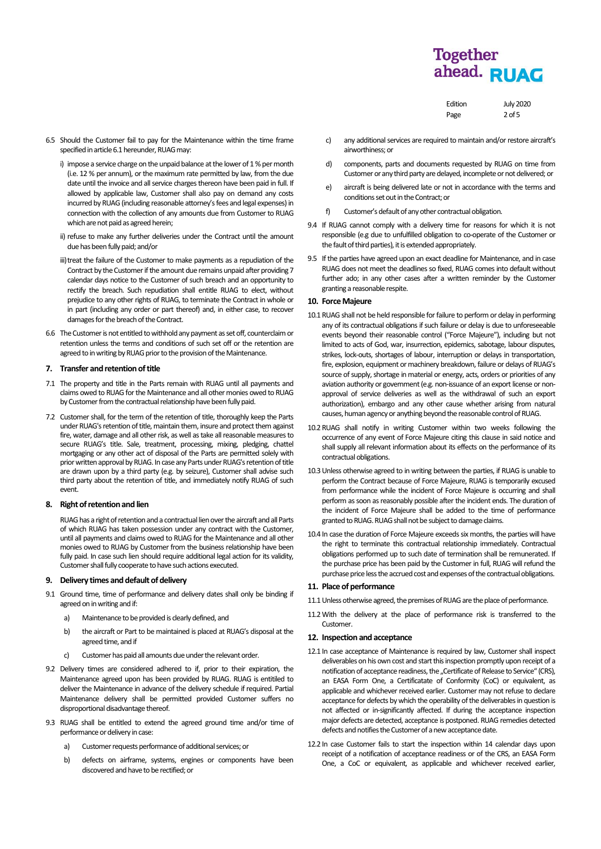Edition July 2020

 $2$  of 5

| Page |
|------|
|      |

- 6.5 Should the Customer fail to pay for the Maintenance within the time frame specified in article 6.1 hereunder, RUAG may:
	- i) impose a service charge on the unpaid balance at the lower of 1 % per month (i.e. 12 % per annum), or the maximum rate permitted by law, from the due date until the invoice and all service charges thereon have been paid in full. If allowed by applicable law, Customer shall also pay on demand any costs incurred by RUAG (including reasonable attorney's fees and legal expenses) in connection with the collection of any amounts due from Customer to RUAG which are not paid as agreed herein;
	- ii) refuse to make any further deliveries under the Contract until the amount due has been fully paid; and/or
	- iii) treat the failure of the Customer to make payments as a repudiation of the Contract by the Customer if the amount due remains unpaid after providing 7 calendar days notice to the Customer of such breach and an opportunity to rectify the breach. Such repudiation shall entitle RUAG to elect, without prejudice to any other rights of RUAG, to terminate the Contract in whole or in part (including any order or part thereof) and, in either case, to recover damages for the breach of the Contract.
- 6.6 The Customer is not entitled to withhold any payment as set off, counterclaim or retention unless the terms and conditions of such set off or the retention are agreed to in writing by RUAG prior to the provision of the Maintenance.

# **7. Transfer and retention of title**

- 7.1 The property and title in the Parts remain with RUAG until all payments and claims owed to RUAG for the Maintenance and all other monies owed to RUAG by Customer from the contractual relationship have been fully paid.
- 7.2 Customer shall, for the term of the retention of title, thoroughly keep the Parts under RUAG's retention of title, maintain them, insure and protect them against fire, water, damage and all other risk, as well as take all reasonable measures to secure RUAG's title. Sale, treatment, processing, mixing, pledging, chattel mortgaging or any other act of disposal of the Parts are permitted solely with prior written approval by RUAG. In case any Parts under RUAG's retention of title are drawn upon by a third party (e.g. by seizure), Customer shall advise such third party about the retention of title, and immediately notify RUAG of such event.

# **8. Right of retentionand lien**

RUAG has a right of retention and a contractual lien over the aircraft and all Parts of which RUAG has taken possession under any contract with the Customer, until all payments and claims owed to RUAG for the Maintenance and all other monies owed to RUAG by Customer from the business relationship have been fully paid. In case such lien should require additional legal action for its validity, Customer shall fully cooperate to have such actions executed.

# **9. Delivery times and default of delivery**

- 9.1 Ground time, time of performance and delivery dates shall only be binding if agreed on in writing and if:
	- a) Maintenance to be provided is clearly defined, and
	- b) the aircraft or Part to be maintained is placed at RUAG's disposal at the agreed time, and if
	- c) Customer has paid all amounts due under the relevant order.
- 9.2 Delivery times are considered adhered to if, prior to their expiration, the Maintenance agreed upon has been provided by RUAG. RUAG is entitiled to deliver the Maintenance in advance of the delivery schedule if required. Partial Maintenance delivery shall be permitted provided Customer suffers no disproportional disadvantage thereof.
- 9.3 RUAG shall be entitled to extend the agreed ground time and/or time of performance or delivery in case:
	- a) Customer requests performance of additional services; or
	- b) defects on airframe, systems, engines or components have been discovered and have to be rectified; or
- c) any additional services are required to maintain and/or restore aircraft's airworthiness; or
- d) components, parts and documents requested by RUAG on time from Customer or any third party are delayed, incomplete or not delivered; or
- e) aircraft is being delivered late or not in accordance with the terms and conditions set out in the Contract: or
- f) Customer's default of any other contractual obligation.
- 9.4 If RUAG cannot comply with a delivery time for reasons for which it is not responsible (e.g due to unfulfilled obligation to co-operate of the Customer or the fault of third parties), it is extended appropriately.
- 9.5 If the parties have agreed upon an exact deadline for Maintenance, and in case RUAG does not meet the deadlines so fixed, RUAG comes into default without further ado; in any other cases after a written reminder by the Customer granting a reasonable respite.

# **10. Force Majeure**

- 10.1RUAG shall not be held responsible for failure to perform or delay in performing any of its contractual obligations if such failure or delay is due to unforeseeable events beyond their reasonable control ("Force Majeure"), including but not limited to acts of God, war, insurrection, epidemics, sabotage, labour disputes, strikes, lock-outs, shortages of labour, interruption or delays in transportation, fire, explosion, equipment or machinery breakdown, failure or delays of RUAG's source of supply, shortage in material or energy, acts, orders or priorities of any aviation authority or government (e.g. non-issuance of an export license or nonapproval of service deliveries as well as the withdrawal of such an export authorization), embargo and any other cause whether arising from natural causes, human agency or anything beyond the reasonable control of RUAG.
- 10.2RUAG shall notify in writing Customer within two weeks following the occurrence of any event of Force Majeure citing this clause in said notice and shall supply all relevant information about its effects on the performance of its contractual obligations.
- 10.3Unless otherwise agreed to in writing between the parties, if RUAG is unable to perform the Contract because of Force Majeure, RUAG is temporarily excused from performance while the incident of Force Majeure is occurring and shall perform as soon as reasonably possible after the incident ends. The duration of the incident of Force Majeure shall be added to the time of performance granted to RUAG. RUAG shall not be subject to damage claims.
- 10.4 In case the duration of Force Majeure exceeds six months, the parties will have the right to terminate this contractual relationship immediately. Contractual obligations performed up to such date of termination shall be remunerated. If the purchase price has been paid by the Customer in full, RUAG will refund the purchase price less the accrued cost and expenses of the contractual obligations.

# **11. Place of performance**

- 11.1Unless otherwise agreed, the premises of RUAG are the place of performance.
- 11.2With the delivery at the place of performance risk is transferred to the Customer.

# **12. Inspection and acceptance**

- 12.1 In case acceptance of Maintenance is required by law, Customer shall inspect deliverables on his own cost and start this inspection promptly upon receipt of a notification of acceptance readiness, the "Certificate of Release to Service" (CRS), an EASA Form One, a Certificatate of Conformity (CoC) or equivalent, as applicable and whichever received earlier. Customer may not refuse to declare acceptance for defects by which the operability of the deliverables in question is not affected or in-significantly affected. If during the acceptance inspection major defects are detected, acceptance is postponed. RUAG remedies detected defects and notifies the Customer of a new acceptance date.
- <span id="page-1-0"></span>12.2 In case Customer fails to start the inspection within 14 calendar days upon receipt of a notification of acceptance readiness or of the CRS, an EASA Form One, a CoC or equivalent, as applicable and whichever received earlier,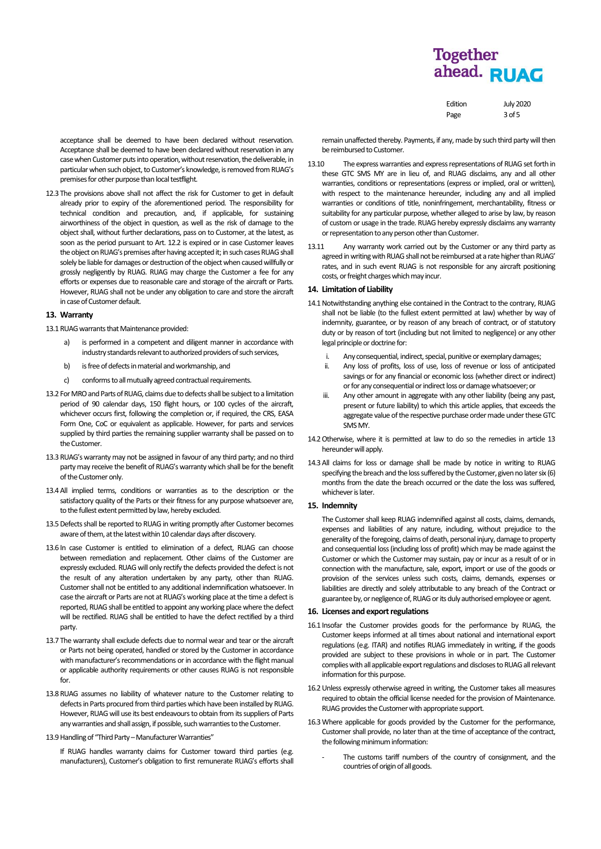| Edition | <b>July 2020</b> |
|---------|------------------|
| Page    | $3$ of 5         |

acceptance shall be deemed to have been declared without reservation. Acceptance shall be deemed to have been declared without reservation in any case when Customer puts into operation, without reservation, the deliverable, in particular when such object, to Customer's knowledge, is removed from RUAG's premises for other purpose than local testflight.

12.3 The provisions above shall not affect the risk for Customer to get in default already prior to expiry of the aforementioned period. The responsibility for technical condition and precaution, and, if applicable, for sustaining airworthiness of the object in question, as well as the risk of damage to the object shall, without further declarations, pass on to Customer, at the latest, as soon as the period pursuant to Art. [12.2](#page-1-0) is expired or in case Customer leaves the object on RUAG's premises after having accepted it; in such cases RUAG shall solely be liable for damages or destruction of the object when caused willfully or grossly negligently by RUAG. RUAG may charge the Customer a fee for any efforts or expenses due to reasonable care and storage of the aircraft or Parts. However, RUAG shall not be under any obligation to care and store the aircraft in case of Customer default.

# **13. Warranty**

13.1 RUAG warrants that Maintenance provided:

- a) is performed in a competent and diligent manner in accordance with industry standards relevant to authorized providers of such services,
- b) is free of defects in material and workmanship, and
- c) conforms to all mutually agreed contractual requirements.
- 13.2 For MRO and Parts of RUAG, claims due to defects shall be subject to a limitation period of 90 calendar days, 150 flight hours, or 100 cycles of the aircraft, whichever occurs first, following the completion or, if required, the CRS, EASA Form One, CoC or equivalent as applicable. However, for parts and services supplied by third parties the remaining supplier warranty shall be passed on to the Customer.
- 13.3RUAG's warranty may not be assigned in favour of any third party; and no third party may receive the benefit of RUAG's warranty which shall be for the benefit of the Customer only.
- 13.4All implied terms, conditions or warranties as to the description or the satisfactory quality of the Parts or their fitness for any purpose whatsoever are, to the fullest extent permitted by law, hereby excluded.
- 13.5 Defects shall be reported to RUAG in writing promptly after Customer becomes aware of them, at the latest within 10 calendar days after discovery.
- 13.6 In case Customer is entitled to elimination of a defect, RUAG can choose between remediation and replacement. Other claims of the Customer are expressly excluded. RUAG will only rectify the defects provided the defect is not the result of any alteration undertaken by any party, other than RUAG. Customer shall not be entitled to any additional indemnification whatsoever. In case the aircraft or Parts are not at RUAG's working place at the time a defect is reported, RUAG shall be entitled to appoint any working place where the defect will be rectified. RUAG shall be entitled to have the defect rectified by a third party.
- 13.7 The warranty shall exclude defects due to normal wear and tear or the aircraft or Parts not being operated, handled or stored by the Customer in accordance with manufacturer's recommendations or in accordance with the flight manual or applicable authority requirements or other causes RUAG is not responsible for.
- 13.8RUAG assumes no liability of whatever nature to the Customer relating to defects in Parts procured from third parties which have been installed by RUAG. However, RUAG will use its best endeavours to obtain from its suppliers of Parts any warranties and shall assign, if possible, such warranties to the Customer.
- 13.9 Handling of "Third Party Manufacturer Warranties"

If RUAG handles warranty claims for Customer toward third parties (e.g. manufacturers), Customer's obligation to first remunerate RUAG's efforts shall remain unaffected thereby. Payments, if any, made by such third party will then be reimbursed to Customer.

- 13.10 The express warranties and express representations of RUAG set forth in these GTC SMS MY are in lieu of, and RUAG disclaims, any and all other warranties, conditions or representations (express or implied, oral or written), with respect to the maintenance hereunder, including any and all implied warranties or conditions of title, noninfringement, merchantability, fitness or suitability for any particular purpose, whether alleged to arise by law, by reason of custom or usage in the trade. RUAG hereby expressly disclaims any warranty or representation to any person other than Customer.
- 13.11 Any warranty work carried out by the Customer or any third party as agreed in writing with RUAG shall not be reimbursed at a rate higher than RUAG' rates, and in such event RUAG is not responsible for any aircraft positioning costs, or freight charges which may incur.

## **14. Limitation of Liability**

- 14.1Notwithstanding anything else contained in the Contract to the contrary, RUAG shall not be liable (to the fullest extent permitted at law) whether by way of indemnity, guarantee, or by reason of any breach of contract, or of statutory duty or by reason of tort (including but not limited to negligence) or any other legal principle or doctrine for:
	- i. Any consequential, indirect, special, punitive or exemplary damages;
	- ii. Any loss of profits, loss of use, loss of revenue or loss of anticipated savings or for any financial or economic loss (whether direct or indirect) or for any consequential or indirect loss or damage whatsoever; or
	- iii. Any other amount in aggregate with any other liability (being any past, present or future liability) to which this article applies, that exceeds the aggregate value of the respective purchase order made under these GTC SMS MY.
- 14.2Otherwise, where it is permitted at law to do so the remedies in article 13 hereunder will apply.
- 14.3All claims for loss or damage shall be made by notice in writing to RUAG specifying the breach and the loss suffered by the Customer, given no later six (6) months from the date the breach occurred or the date the loss was suffered, whichever is later.

#### **15. Indemnity**

The Customer shall keep RUAG indemnified against all costs, claims, demands, expenses and liabilities of any nature, including, without prejudice to the generality of the foregoing, claims of death, personal injury, damage to property and consequential loss (including loss of profit) which may be made against the Customer or which the Customer may sustain, pay or incur as a result of or in connection with the manufacture, sale, export, import or use of the goods or provision of the services unless such costs, claims, demands, expenses or liabilities are directly and solely attributable to any breach of the Contract or guarantee by, or negligence of, RUAG or its duly authorised employee or agent.

# **16. Licenses and export regulations**

- 16.1 Insofar the Customer provides goods for the performance by RUAG, the Customer keeps informed at all times about national and international export regulations (e.g. ITAR) and notifies RUAG immediately in writing, if the goods provided are subject to these provisions in whole or in part. The Customer complies with all applicable export regulations and discloses to RUAG all relevant information for this purpose.
- 16.2Unless expressly otherwise agreed in writing, the Customer takes all measures required to obtain the official license needed for the provision of Maintenance. RUAG provides the Customer with appropriate support.
- 16.3Where applicable for goods provided by the Customer for the performance, Customer shall provide, no later than at the time of acceptance of the contract, the following minimum information:
	- The customs tariff numbers of the country of consignment, and the countries of origin of all goods.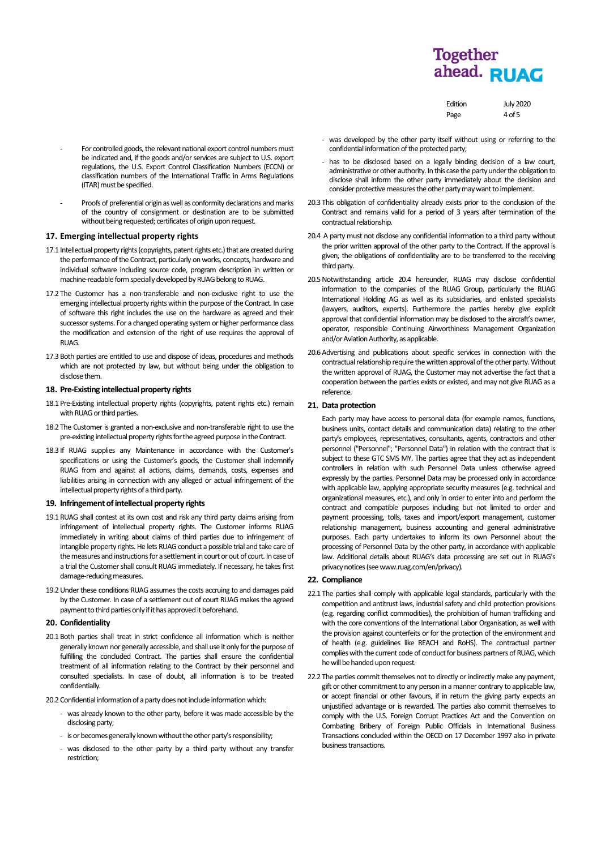| Edition | <b>July 2020</b> |
|---------|------------------|
| Page    | $4$ of 5         |

- For controlled goods, the relevant national export control numbers must be indicated and, if the goods and/or services are subject to U.S. export regulations, the U.S. Export Control Classification Numbers (ECCN) or classification numbers of the International Traffic in Arms Regulations (ITAR) must be specified.
- Proofs of preferential origin as well as conformity declarations and marks of the country of consignment or destination are to be submitted without being requested; certificates of origin upon request.

# **17. Emerging intellectual property rights**

- 17.1 Intellectual property rights (copyrights, patent rights etc.) that are created during the performance of the Contract, particularly on works, concepts, hardware and individual software including source code, program description in written or machine-readable form specially developed by RUAG belong to RUAG.
- 17.2 The Customer has a non-transferable and non-exclusive right to use the emerging intellectual property rights within the purpose of the Contract. In case of software this right includes the use on the hardware as agreed and their successor systems. For a changed operating system or higher performance class the modification and extension of the right of use requires the approval of RUAG.
- 17.3Both parties are entitled to use and dispose of ideas, procedures and methods which are not protected by law, but without being under the obligation to disclose them.

### 18. Pre-Existing intellectual property rights

- 18.1 Pre-Existing intellectual property rights (copyrights, patent rights etc.) remain with RUAG or third parties.
- 18.2 The Customer is granted a non-exclusive and non-transferable right to use the pre-existing intellectual property rights for the agreed purpose in the Contract.
- 18.3 If RUAG supplies any Maintenance in accordance with the Customer's specifications or using the Customer's goods, the Customer shall indemnify RUAG from and against all actions, claims, demands, costs, expenses and liabilities arising in connection with any alleged or actual infringement of the intellectual property rights of a third party.

## **19. Infringement of intellectual property rights**

- 19.1RUAG shall contest at its own cost and risk any third party claims arising from infringement of intellectual property rights. The Customer informs RUAG immediately in writing about claims of third parties due to infringement of intangible property rights. He lets RUAG conduct a possible trial and take care of the measures and instructions for a settlement in court or out of court. In case of a trial the Customer shall consult RUAG immediately. If necessary, he takes first damage-reducing measures.
- 19.2Under these conditions RUAG assumes the costs accruing to and damages paid by the Customer. In case of a settlement out of court RUAG makes the agreed payment to third parties only if it has approved it beforehand.

# **20. Confidentiality**

- 20.1Both parties shall treat in strict confidence all information which is neither generally known nor generally accessible, and shall use it only for the purpose of fulfilling the concluded Contract. The parties shall ensure the confidential treatment of all information relating to the Contract by their personnel and consulted specialists. In case of doubt, all information is to be treated confidentially.
- 20.2 Confidential information of a party does not include information which:
	- was already known to the other party, before it was made accessible by the disclosing party;
	- is or becomes generally known without the other party's responsibility;
	- was disclosed to the other party by a third party without any transfer restriction;
- was developed by the other party itself without using or referring to the confidential information of the protected party;
- has to be disclosed based on a legally binding decision of a law court, administrative or other authority. In this case the party under the obligation to disclose shall inform the other party immediately about the decision and consider protective measures the other party may want to implement.
- 20.3 This obligation of confidentiality already exists prior to the conclusion of the Contract and remains valid for a period of 3 years after termination of the contractual relationship.
- 20.4 A party must not disclose any confidential information to a third party without the prior written approval of the other party to the Contract. If the approval is given, the obligations of confidentiality are to be transferred to the receiving third party.
- 20.5Notwithstanding article 20.4 hereunder, RUAG may disclose confidential information to the companies of the RUAG Group, particularly the RUAG International Holding AG as well as its subsidiaries, and enlisted specialists (lawyers, auditors, experts). Furthermore the parties hereby give explicit approval that confidential information may be disclosed to the aircraft's owner, operator, responsible Continuing Airworthiness Management Organization and/or Aviation Authority, as applicable.
- 20.6Advertising and publications about specific services in connection with the contractual relationship require the written approval of the other party. Without the written approval of RUAG, the Customer may not advertise the fact that a cooperation between the parties exists or existed, and may not give RUAG as a reference.

# **21. Data protection**

Each party may have access to personal data (for example names, functions, business units, contact details and communication data) relating to the other party's employees, representatives, consultants, agents, contractors and other personnel ("Personnel"; "Personnel Data") in relation with the contract that is subject to these GTC SMS MY. The parties agree that they act as independent controllers in relation with such Personnel Data unless otherwise agreed expressly by the parties. Personnel Data may be processed only in accordance with applicable law, applying appropriate security measures (e.g. technical and organizational measures, etc.), and only in order to enter into and perform the contract and compatible purposes including but not limited to order and payment processing, tolls, taxes and import/export management, customer relationship management, business accounting and general administrative purposes. Each party undertakes to inform its own Personnel about the processing of Personnel Data by the other party, in accordance with applicable law. Additional details about RUAG's data processing are set out in RUAG's privacy notices (see www.ruag.com/en/privacy).

### **22. Compliance**

- 22.1 The parties shall comply with applicable legal standards, particularly with the competition and antitrust laws, industrial safety and child protection provisions (e.g. regarding conflict commodities), the prohibition of human trafficking and with the core conventions of the International Labor Organisation, as well with the provision against counterfeits or for the protection of the environment and of health (e.g. guidelines like REACH and RoHS). The contractual partner complies with the current code of conduct for business partners of RUAG, which he will be handed upon request.
- 22.2 The parties commit themselves not to directly or indirectly make any payment, gift or other commitment to any person in a manner contrary to applicable law, or accept financial or other favours, if in return the giving party expects an unjustified advantage or is rewarded. The parties also commit themselves to comply with the U.S. Foreign Corrupt Practices Act and the Convention on Combating Bribery of Foreign Public Officials in International Business Transactions concluded within the OECD on 17 December 1997 also in private business transactions.